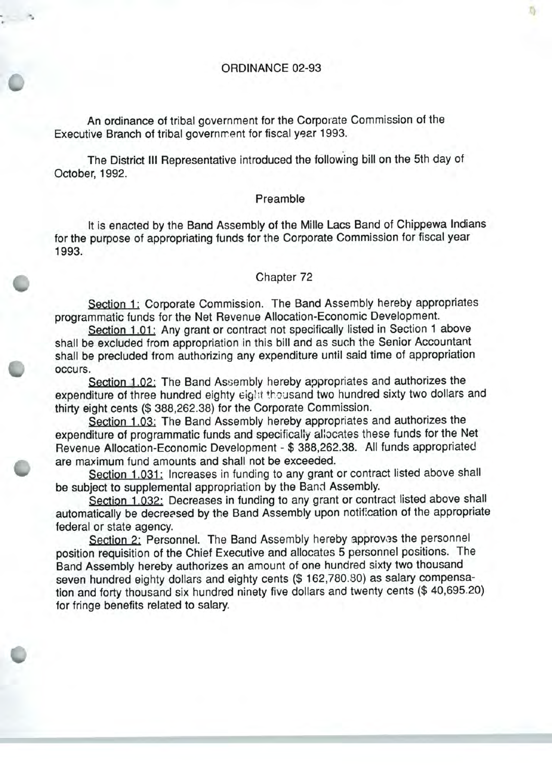ORDINANCE 02-93

An ordinance of tribal government for the Corporate Commission of the Executive Branch of tribal government for fiscal year 1993.

The District III Representative introduced the following bill on the 5th day of October, 1992.

## Preamble

It is enacted by the Band Assembly of the Mille Lacs Band of Chippewa Indians for the purpose of appropriating funds for the Corporate Commission for fiscal year 1993.

## Chapter 72

Section 1: Corporate Commission. The Band Assembly hereby appropriates programmatic funds for the Net Revenue Allocation- Economic Development.

Section 1.01: Any grant or contract not specifically listed in Section 1 above shall be excluded from appropriation in this bill and as such the Senior Accountant shall be precluded from authorizing any expenditure until said time of appropriation occurs.

Section 1.02: The Band Assembly hereby appropriates and authorizes the expenditure of three hundred eighty eight thousand two hundred sixty two dollars and thirty eight cents (\$ 388, 262. 38) for the Corporate Commission.

Section 1.03: The Band Assembly hereby appropriates and authorizes the expenditure of programmatic funds and specifically allocates these funds for the Net Revenue Allocation-Economic Development - \$ 388, 262. 38. All funds appropriated are maximum fund amounts and shall not be exceeded.

Section 1.031: Increases in funding to any grant or contract listed above shall be subject to supplemental appropriation by the Band Assembly.

Section 1.032: Decreases in funding to any grant or contract listed above shall automatically be decreased by the Band Assembly upon notification of the appropriate federal or state agency.

Section 2: Personnel. The Band Assembly hereby approves the personnel position requisition of the Chief Executive and allocates <sup>5</sup> personnel positions. The Band Assembly hereby authorizes an amount of one hundred sixty two thousand seven hundred eighty dollars and eighty cents (\$ 162,780.80) as salary compensation and forty thousand six hundred ninety five dollars and twenty cents (\$40,695.20) for fringe benefits related to salary.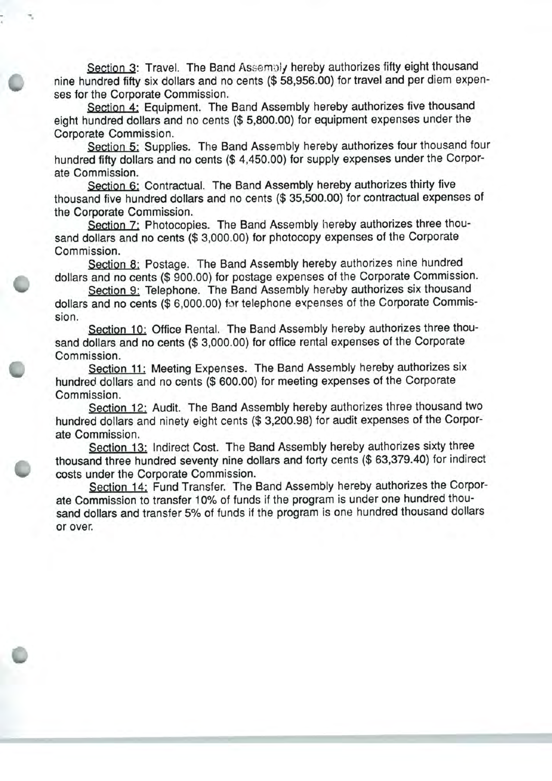Section 3: Travel. The Band Assembly hereby authorizes fifty eight thousand nine hundred fifty six dollars and no cents (\$ 58, 956. 00) for travel and per diem expenses for the Corporate Commission.

Section 4: Equipment. The Band Assembly hereby authorizes five thousand eight hundred dollars and no cents (\$ 5, 800. 00) for equipment expenses under the Corporate Commission.

Section 5: Supplies. The Band Assembly hereby authorizes four thousand four hundred fifty dollars and no cents (\$4,450.00) for supply expenses under the Corporate Commission.

Section 6: Contractual. The Band Assembly hereby authorizes thirty five thousand five hundred dollars and no cents (\$ 35, 500. 00) for contractual expenses of the Corporate Commission.

Section 7: Photocopies. The Band Assembly hereby authorizes three thousand dollars and no cents (\$3,000.00) for photocopy expenses of the Corporate Commission.

Section 8: Postage. The Band Assembly hereby authorizes nine hundred dollars and no cents (\$ 900. 00) for postage expenses of the Corporate Commission.

Section 9: Telephone. The Band Assembly hereby authorizes six thousand dollars and no cents (\$6,000.00) for telephone expenses of the Corporate Commission.

Section 10: Office Rental. The Band Assembly hereby authorizes three thousand dollars and no cents (\$ 3, 000. 00) for office rental expenses of the Corporate Commission.

Section 11: Meeting Expenses. The Band Assembly hereby authorizes six hundred dollars and no cents (\$ 600. 00) for meeting expenses of the Corporate Commission.

Section 12: Audit. The Band Assembly hereby authorizes three thousand two hundred dollars and ninety eight cents (\$ 3,200.98) for audit expenses of the Corporate Commission.

Section 13: Indirect Cost. The Band Assembly hereby authorizes sixty three thousand three hundred seventy nine dollars and forty cents (\$ 63, 379. 40) for indirect costs under the Corporate Commission.

Section 14: Fund Transfer. The Band Assembly hereby authorizes the Corporate Commission to transfer 10% of funds if the program is under one hundred thousand dollars and transfer 5% of funds if the program is one hundred thousand dollars or over.